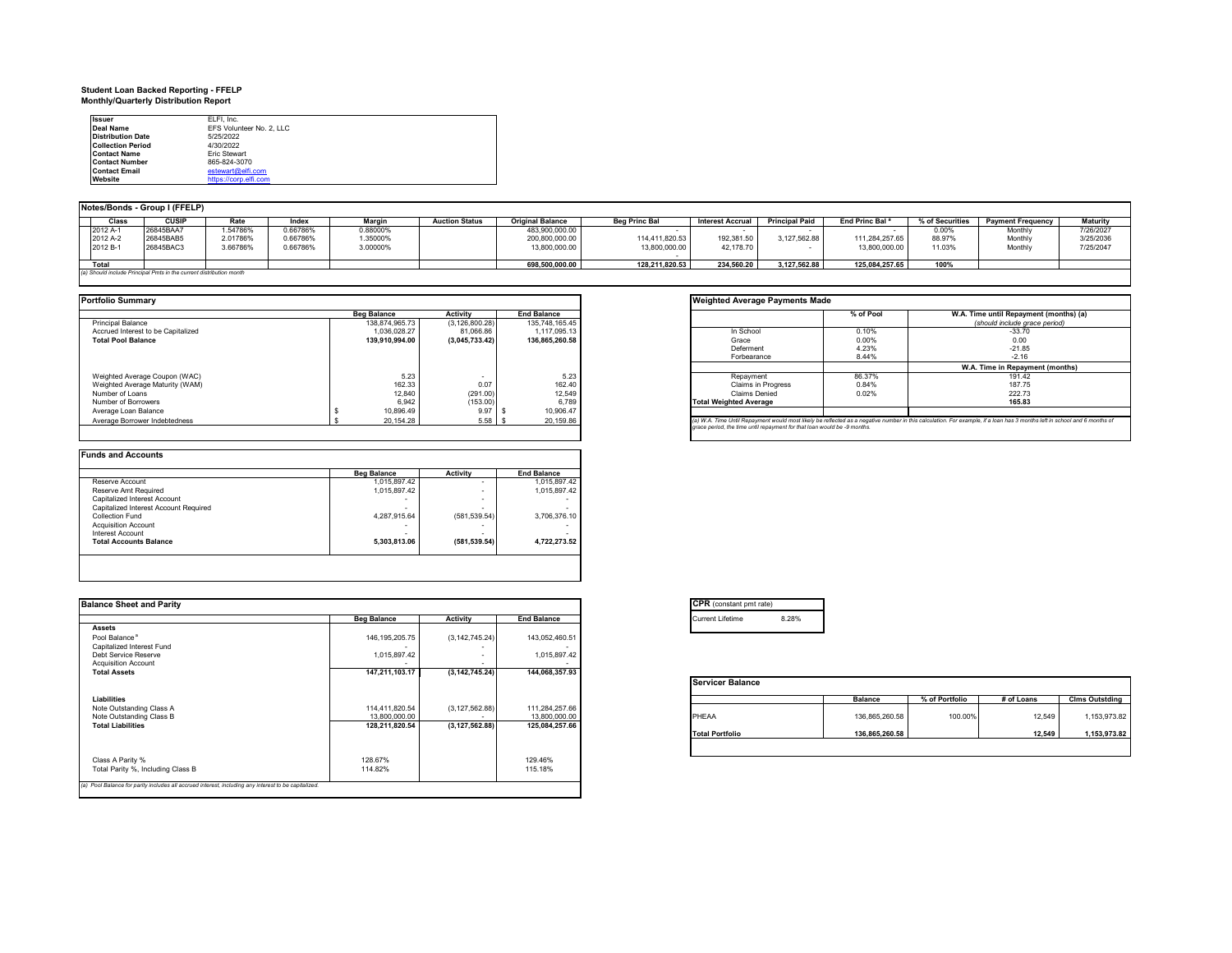## **Student Loan Backed Reporting - FFELP Monthly/Quarterly Distribution Report**

| <b>Issuer</b>            | ELFI, Inc.               |  |
|--------------------------|--------------------------|--|
| Deal Name                | EFS Volunteer No. 2. LLC |  |
| <b>Distribution Date</b> | 5/25/2022                |  |
| <b>Collection Period</b> | 4/30/2022                |  |
| <b>Contact Name</b>      | Fric Stewart             |  |
| <b>Contact Number</b>    | 865-824-3070             |  |
| <b>Contact Email</b>     | estewart@elfi.com        |  |
| Website                  | https://corp.elfi.com    |  |

#### **Notes/Bonds - Group I (FFELP)**

| <b>Class</b> | <b>CUSIF</b>                                                        |          | Index    | Margir   | <b>Auction Status</b> | <b>Original Balance</b> | <b>Beg Princ Bal</b> | <b>Interest Accrual</b> | <b>Principal Paid</b> | End Princ Bal <sup>a</sup> | % of Securities | <b>Payment Frequency</b> | <b>Maturity</b> |
|--------------|---------------------------------------------------------------------|----------|----------|----------|-----------------------|-------------------------|----------------------|-------------------------|-----------------------|----------------------------|-----------------|--------------------------|-----------------|
| 2012 A-1     | 26845BAA7                                                           | 1.547869 | 1.66786% | 0.88000% |                       | 483,900,000.00          |                      |                         |                       |                            | 0.00%           | Monthly                  | 7/26/2027       |
| 2012 A-2     | 26845BAB5                                                           | 2.01786% | 0.66786% | 1.35000% |                       | 200,800,000.00          | 114.411.820.53       | 192.381.50              | 3.127.562.88          | 111.284.257.65             | 88.97%          | Monthly                  | 3/25/2036       |
| 2012 B-1     | 26845BAC3                                                           | 3.66786% | 0.66786% | 3.00000% |                       | 13,800,000.00           | 13,800,000.00        | 42,178.70               |                       | 13,800,000.00              | 11.03%          | Monthly                  | 7/25/2047       |
|              |                                                                     |          |          |          |                       |                         |                      |                         |                       |                            |                 |                          |                 |
| Total        |                                                                     |          |          |          |                       | 698.500.000.00          | 128.211.820.53       | 234.560.20              | 3.127.562.88          | 125.084.257.65             | 100%            |                          |                 |
|              | (a) Should include Principal Pmts in the current distribution month |          |          |          |                       |                         |                      |                         |                       |                            |                 |                          |                 |

| <b>Portfolio Summarv</b>           |                    |                  |                    | <b>Weighted Average Payments Made</b>                                                                                                   |           |                        |
|------------------------------------|--------------------|------------------|--------------------|-----------------------------------------------------------------------------------------------------------------------------------------|-----------|------------------------|
|                                    | <b>Beg Balance</b> | Activity         | <b>End Balance</b> |                                                                                                                                         | % of Pool | W.A. Time until Repayn |
| <b>Principal Balance</b>           | 138.874.965.73     | (3, 126, 800.28) | 135.748.165.45     |                                                                                                                                         |           | (should include ar     |
| Accrued Interest to be Capitalized | 1.036.028.27       | 81.066.86        | 1.117.095.13       | In School                                                                                                                               | 0.10%     | $-33.70$               |
| <b>Total Pool Balance</b>          | 139.910.994.00     | (3.045.733.42)   | 136.865.260.58     | Grace                                                                                                                                   | 0.00%     | 0.00                   |
|                                    |                    |                  |                    | Deferment                                                                                                                               | 4.23%     | $-21.85$               |
|                                    |                    |                  |                    | Forbearance                                                                                                                             | 8.44%     | $-2.16$                |
|                                    |                    |                  |                    |                                                                                                                                         |           | W.A. Time in Repayr    |
| Weighted Average Coupon (WAC)      | 5.23               |                  | 5.23               | Repayment                                                                                                                               | 86.37%    | 191.42                 |
| Weighted Average Maturity (WAM)    | 162.33             | 0.07             | 162.40             | <b>Claims in Progress</b>                                                                                                               | 0.84%     | 187.75                 |
| Number of Loans                    | 12.840             | (291.00)         | 12,549             | <b>Claims Denied</b>                                                                                                                    | 0.02%     | 222.73                 |
| Number of Borrowers                | 6.942              | (153.00)         | 6.789              | <b>Total Weighted Average</b>                                                                                                           |           | 165.83                 |
| Average Loan Balance               | 10.896.49          | 9.97             | 10.906.47          |                                                                                                                                         |           |                        |
| Average Borrower Indebtedness      | 20,154.28          | 5.58             | 20,159.86          | (a) W.A. Time Until Repayment would most likely be reflected as a negative number in this calculation. For example, if a loan has 3 mon |           |                        |
|                                    |                    |                  |                    | and a constant that forest and the comment funding the constant to a final constant of the forest states.                               |           |                        |

|                                       | <b>Beg Balance</b> | Activity      | <b>End Balance</b> |
|---------------------------------------|--------------------|---------------|--------------------|
| Reserve Account                       | 1,015,897.42       | ٠             | 1,015,897.42       |
| <b>Reserve Amt Required</b>           | 1.015.897.42       | ۰             | 1.015.897.42       |
| Capitalized Interest Account          |                    | ٠             |                    |
| Capitalized Interest Account Required |                    | ۰             |                    |
| Collection Fund                       | 4,287,915.64       | (581, 539.54) | 3.706.376.10       |
| <b>Acquisition Account</b>            |                    | -             |                    |
| Interest Account                      |                    | ٠             |                    |
| <b>Total Accounts Balance</b>         | 5,303,813.06       | (581, 539.54) | 4.722.273.52       |

| <b>Balance Sheet and Parity</b>                                                                      |                    |                  |                    |
|------------------------------------------------------------------------------------------------------|--------------------|------------------|--------------------|
|                                                                                                      | <b>Beg Balance</b> | Activity         | <b>End Balance</b> |
| Assets                                                                                               |                    |                  |                    |
| Pool Balance <sup>a</sup>                                                                            | 146, 195, 205.75   | (3, 142, 745.24) | 143,052,460.51     |
| Capitalized Interest Fund                                                                            |                    |                  |                    |
| Debt Service Reserve                                                                                 | 1,015,897.42       |                  | 1,015,897.42       |
| <b>Acquisition Account</b>                                                                           |                    |                  |                    |
| <b>Total Assets</b>                                                                                  | 147,211,103.17     | (3, 142, 745.24) | 144,068,357.93     |
|                                                                                                      |                    |                  |                    |
| Liabilities                                                                                          |                    |                  |                    |
| Note Outstanding Class A                                                                             | 114,411,820.54     | (3, 127, 562.88) | 111,284,257.66     |
| Note Outstanding Class B                                                                             | 13,800,000.00      |                  | 13,800,000.00      |
| <b>Total Liabilities</b>                                                                             | 128,211,820.54     | (3, 127, 562.88) | 125,084,257.66     |
|                                                                                                      |                    |                  |                    |
|                                                                                                      |                    |                  |                    |
|                                                                                                      |                    |                  |                    |
| Class A Parity %                                                                                     | 128.67%            |                  | 129.46%            |
| Total Parity %, Including Class B                                                                    | 114.82%            |                  | 115.18%            |
| (a) Pool Balance for parity includes all accrued interest, including any interest to be capitalized. |                    |                  |                    |
|                                                                                                      |                    |                  |                    |

**Weighted Average Payments Made** 19 In School Chrome Concernsion Concernsion Concernsion Concernsion Concernsion Concernsion Concernsion Concernsion Concernsion Concernsion Concernsion Concernsion Concernsion Concernsion Concernsion Concernsion Concernsio Forbearance 8.44% -2.16 **W.A. Time in Repayment (months)** (a) W.A. Time Until Repayment would most likely be reflected as a negative number in this calculation. For example, it a loan has 3 months left in school and 6 months of<br>grace period, the time until repayment for that loan **W.A. Time until Repayment (months) (a)** *(should include grace period)*

| <b>CPR</b> (constant pmt rate) |       |
|--------------------------------|-------|
| <b>Current Lifetime</b>        | 8.28% |

|                        | <b>Balance</b> | % of Portfolio | # of Loans | <b>Clms Outstding</b> |
|------------------------|----------------|----------------|------------|-----------------------|
| PHFAA                  | 136.865.260.58 | 100.00%        | 12,549     | 1.153.973.82          |
| <b>Total Portfolio</b> | 136.865.260.58 |                | 12.549     | 1,153,973.82          |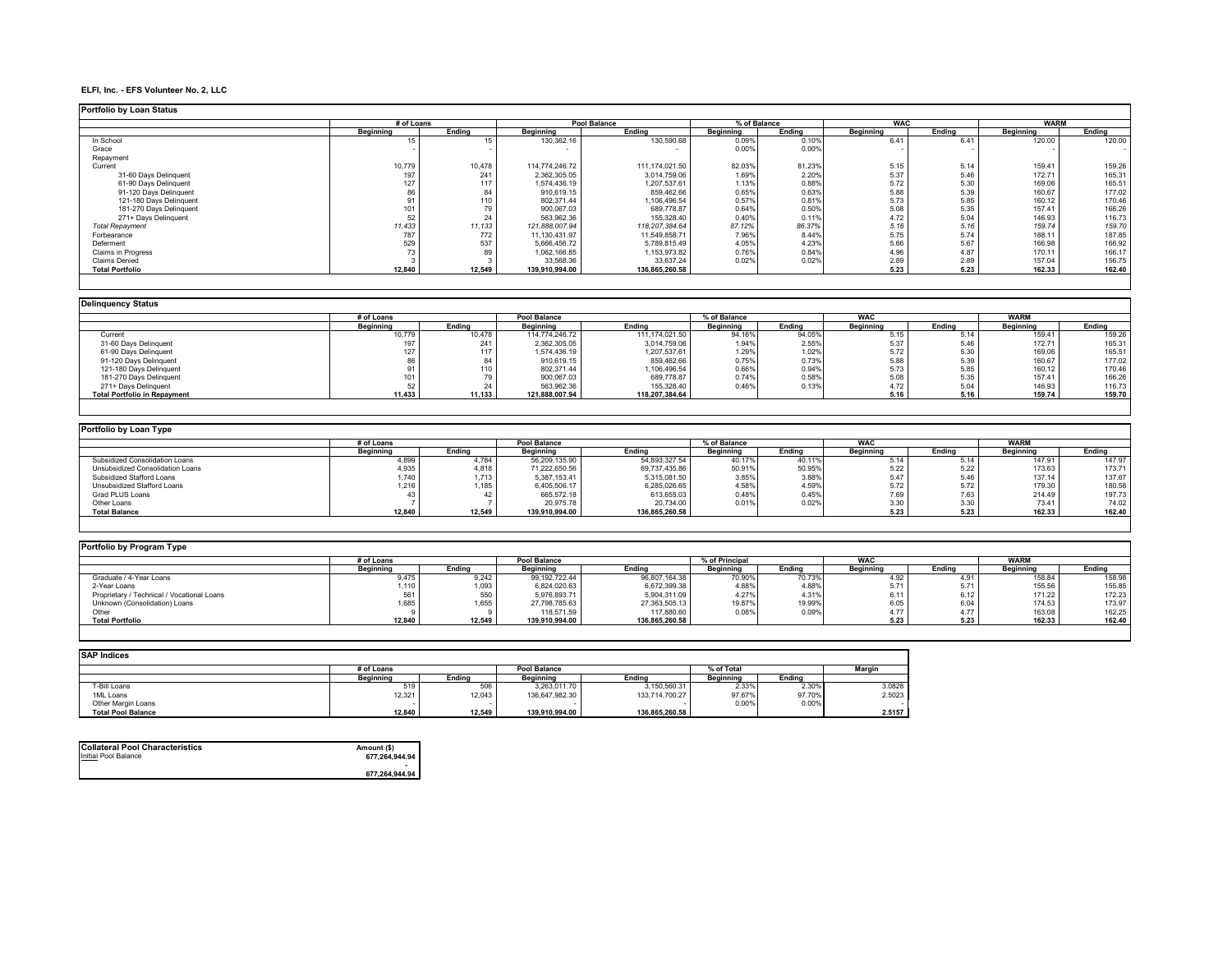#### **ELFI, Inc. - EFS Volunteer No. 2, LLC**

| <b>Portfolio by Loan Status</b> |            |        |                |                  |              |        |            |        |             |        |
|---------------------------------|------------|--------|----------------|------------------|--------------|--------|------------|--------|-------------|--------|
|                                 | # of Loans |        |                | Pool Balance     | % of Balance |        | <b>WAC</b> |        | <b>WARM</b> |        |
|                                 | Beainnina  | Endina | Beainnina      | Endina           | Beainning    | Endina | Beainning  | Endina | Beainnina   | Endina |
| In School                       |            |        | 130,362.16     | 130,590.68       | 0.09%        | 0.10%  | 6.41       | 6.41   | 120.00      | 120.00 |
| Grace                           |            |        |                |                  | 0.00%        | 0.00%  |            |        |             | $\sim$ |
| Repayment                       |            |        |                |                  |              |        |            |        |             |        |
| Current                         | 10.779     | 10,478 | 114.774.246.72 | 111.174.021.50   | 82.03%       | 81.23% | 5.15       | 5.14   | 159.41      | 159.26 |
| 31-60 Davs Delinguent           | 197        | 241    | 2.362.305.05   | 3,014,759.06     | 1.69%        | 2.20%  | 5.37       | 5.46   | 172.71      | 165.31 |
| 61-90 Days Delinquent           |            | 117    | 1,574,436.19   | 1,207,537.61     | 1.13%        | 0.88%  | 5.72       | 5.30   | 169.06      | 165.51 |
| 91-120 Days Delinquent          | 86         |        | 910,619.15     | 859,462.66       | 0.65%        | 0.63%  | 5.88       | 5.39   | 160.67      | 177.02 |
| 121-180 Days Delinquent         |            | 110    | 802.371.44     | 1,106,496.54     | 0.57%        | 0.81%  | 5.73       | 5.85   | 160.12      | 170.46 |
| 181-270 Days Delinquent         |            |        | 900,067.03     | 689,778.87       | 0.64%        | 0.50%  | 5.08       | 5.35   | 157.41      | 166.26 |
| 271+ Davs Delinguent            |            |        | 563,962.36     | 155,328.40       | 0.40%        | 0.11%  | 4.72       | 5.04   | 146.93      | 116.73 |
| <b>Total Repayment</b>          | 11,433     | 11,133 | 121.888.007.94 | 118, 207, 384.64 | 87.12%       | 86.37% | 5.16       | 5.16   | 159.74      | 159.70 |
| Forbearance                     | 787        | 772    | 11,130,431.97  | 11,549,858.71    | 7.96%        | 8.44%  | 5.75       | 5.74   | 188.11      | 187.85 |
| Deferment                       | 529        | 537    | 5.666.456.72   | 5,789,815.49     | 4.05%        | 4.23%  | 5.66       | 5.67   | 166.98      | 166.92 |
| <b>Claims in Progress</b>       |            |        | 1.062.166.85   | 1.153.973.82     | 0.76%        | 0.84%  | 4.96       | 4.87   | 170.11      | 166.17 |
| <b>Claims Denied</b>            |            |        | 33,568.36      | 33,637.24        | 0.02%        | 0.02%  | 2.89       | 2.89   | 157.04      | 156.75 |
| <b>Total Portfolio</b>          | 12,840     | 12,549 | 139.910.994.00 | 136,865,260.58   |              |        | 5.23       | 5.23   | 162.33      | 162.40 |

| <b>Delinguency Status</b>           |            |        |                |                  |              |        |                  |        |             |        |
|-------------------------------------|------------|--------|----------------|------------------|--------------|--------|------------------|--------|-------------|--------|
|                                     | # of Loans |        | Pool Balance   |                  | % of Balance |        | <b>WAC</b>       |        | <b>WARM</b> |        |
|                                     | Beainnina  | Endina | Beginning      | Endina           | Beainning    | Endina | <b>Beginning</b> | Endina | Beainning   | Endina |
| Current                             | 10,779     | 10,478 | 114.774.246.72 | 111, 174, 021.50 | 94.16%       | 94.05% | 5.15             | 5.14   | 159.41      | 159.26 |
| 31-60 Days Delinquent               |            | 241    | 2.362.305.05   | 3,014,759.06     | 1.94%        | 2.55%  | 5.37             | 5.46   | 172.71      | 165.31 |
| 61-90 Days Delinquent               |            |        | 1.574.436.19   | 1,207,537.61     | 1.29%        | 1.02%  | 5.72             | 5.30   | 169.06      | 165.51 |
| 91-120 Days Delinquent              |            |        | 910,619.15     | 859,462.66       | 0.75%        | 0.73%  | 5.88             | 5.39   | 160.67      | 177.02 |
| 121-180 Days Delinquent             |            | 10     | 802.371.44     | 1,106,496.54     | 0.66%        | 0.94%  | 5.73             | 5.85   | 160.12      | 170.46 |
| 181-270 Days Delinquent             |            |        | 900.067.03     | 689.778.87       | 0.74%        | 0.58%  | 5.08             | 5.35   | 157.41      | 166.26 |
| 271+ Davs Delinguent                |            |        | 563.962.36     | 155.328.40       | 0.46%        | 0.13%  | 4.72             | 5.04   | 146.93      | 116.73 |
| <b>Total Portfolio in Repayment</b> | 11,433     | 11.133 | 121.888.007.94 | 118.207.384.64   |              |        | 5.16             | 5.16   | 159.74      | 159.70 |
|                                     |            |        |                |                  |              |        |                  |        |             |        |

| Portfolio by Loan Type           |            |        |                |                |              |        |            |        |             |        |  |  |  |
|----------------------------------|------------|--------|----------------|----------------|--------------|--------|------------|--------|-------------|--------|--|--|--|
|                                  | # of Loans |        | Pool Balance   |                | % of Balance |        | <b>WAC</b> |        | <b>WARM</b> |        |  |  |  |
|                                  | Beainnina  | Endina | Beainnina      | Endina         | Beainnina    | Endina | Beainning  | Endina | Beainnina   | Endina |  |  |  |
| Subsidized Consolidation Loans   | 4.899      | 1.784  | 56.209.135.90  | 54,893,327.54  | 40.17%       | 40.11% | 5.14       | 5.14   | 147.9       | 147.97 |  |  |  |
| Unsubsidized Consolidation Loans | 4.935      | 4.818  | 71.222.650.56  | 69,737,435.86  | 50.91%       | 50.95% | 5.22       | 5.22   | 173.63      | 173.71 |  |  |  |
| Subsidized Stafford Loans        | 1.740      | 713    | 5.387.153.41   | 5,315,081.50   | 3.85%        | 3.88%  | 5.47       | 5.46   | 137.14      | 137.67 |  |  |  |
| Unsubsidized Stafford Loans      | 1.216      | 185    | 6.405.506.17   | 5,285,026.65   | 4.58%        | 4.59%  | 5.72       | 5.72   | 179.30      | 180.58 |  |  |  |
| Grad PLUS Loans                  |            |        | 665.572.18     | 613.655.03     | 0.48%        | 0.45%  | 7.69       | 7.63   | 214.49      | 197.73 |  |  |  |
| Other Loans                      |            |        | 20.975.78      | 20,734.00      | 0.019        | 0.02%  | 3.30       | 3.30   | 73.41       | 74.02  |  |  |  |
| <b>Total Balance</b>             | 12.840     | 12.549 | 139.910.994.00 | 136.865.260.58 |              |        | 5.23       | 5.23   | 162.33      | 162.40 |  |  |  |

| Portfolio by Program Type                  |            |        |                     |                |                |        |                  |        |             |        |
|--------------------------------------------|------------|--------|---------------------|----------------|----------------|--------|------------------|--------|-------------|--------|
|                                            | # of Loans |        | <b>Pool Balance</b> |                | % of Principal |        | <b>WAC</b>       |        | <b>WARN</b> |        |
|                                            | Beainnina  | Endina | Beainnina           | Ending         | Beainnina      | Ending | <b>Beainning</b> | Endina | Beainnina   | Endina |
| Graduate / 4-Year Loans                    | 9,475      | 9,242  | 99.192.722.44       | 96,807,164.38  | 70.90%         | 70.73% | 4.92             | 4.91   | 158.84      | 158.98 |
| 2-Year Loans                               | $1,110$ .  | .093   | 6,824,020.63        | 6,672,399.38   | 4.88%          | 4.88%  | 5.71             | 5.71   | 155.56      | 155.85 |
| Proprietary / Technical / Vocational Loans |            |        | 5.976.893.71        | 5,904,311.09   | 4.27%          | 4.31%  | 6.11             | 6.12   | 171.22      | 172.23 |
| Unknown (Consolidation) Loans              | 1,685      | ,655   | 27,798,785.63       | 27,363,505.13  | 19.87%         | 19.99% | 6.05             | 6.04   | 174.53      | 173.97 |
| Other                                      |            |        | 118,571.59          | 117,880.60     | 0.08%          | 0.09%  | 4.77             | 4.77   | 163.08      | 162.25 |
| <b>Total Portfolio</b>                     | 12,840     | 12.549 | 139.910.994.00      | 136,865,260.58 |                |        | 5.23             | 5.23   | 162.33      | 162.40 |

| <b>SAP Indices</b>        |            |        |                     |                |            |        |               |  |  |  |  |  |  |
|---------------------------|------------|--------|---------------------|----------------|------------|--------|---------------|--|--|--|--|--|--|
|                           | # of Loans |        | <b>Pool Balance</b> |                | % of Total |        | <b>Margin</b> |  |  |  |  |  |  |
|                           | Beainnina  | Endina | Beainnina           | Endina         | Beainnina  | Endina |               |  |  |  |  |  |  |
| T-Bill Loans              | 519        | 506    | 3,263,011.70        | 3,150,560.31   | 2.33%      | 2.30%  | 3.0828        |  |  |  |  |  |  |
| 1ML Loans                 | 12,321     | 12,043 | 136.647.982.30      | 133,714,700.27 | 97.67%     | 97.70% | 2.5023        |  |  |  |  |  |  |
| Other Margin Loans        |            |        |                     |                | 0.00%      | 0.00%  |               |  |  |  |  |  |  |
| <b>Total Pool Balance</b> | 12.840     | 12,549 | 139.910.994.00      | 136.865.260.58 |            |        | 2.5157        |  |  |  |  |  |  |

| <b>Collateral Pool Characteristics</b> | Amount (\$)    |
|----------------------------------------|----------------|
| Initial Pool Balance                   | 677,264,944.94 |
|                                        | 677,264,944.94 |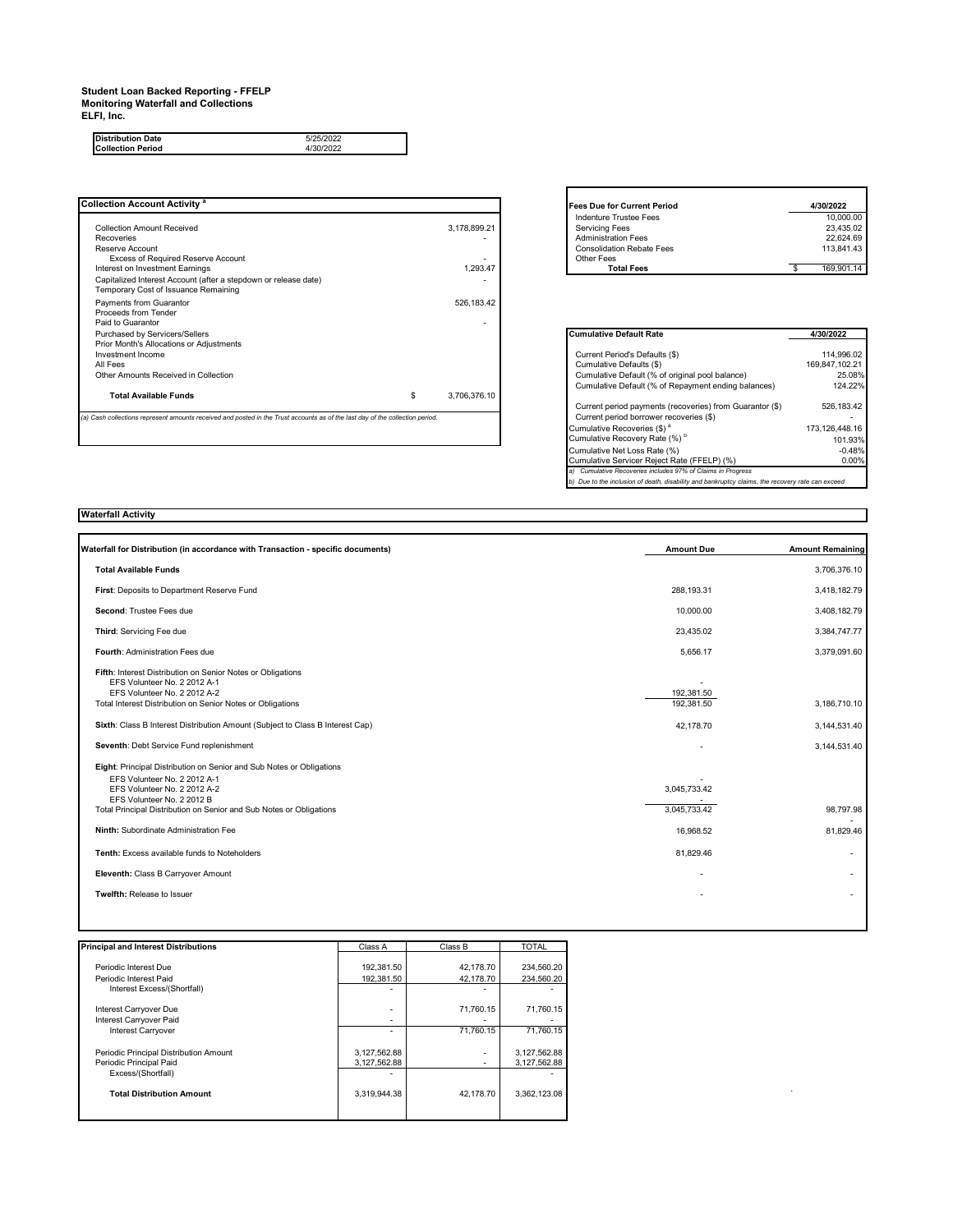### **Student Loan Backed Reporting - FFELP Monitoring Waterfall and Collections**

**ELFI, Inc.**

**Distribution Date** 5/25/2022 **Collection Period** 4/30/2022

| <b>Collection Account Activity <sup>a</sup></b>                                                                               |                    | <b>Fees Due for Current Period</b>                       | 4/30/2022        |
|-------------------------------------------------------------------------------------------------------------------------------|--------------------|----------------------------------------------------------|------------------|
|                                                                                                                               |                    | <b>Indenture Trustee Fees</b>                            | 10.000.00        |
| <b>Collection Amount Received</b>                                                                                             | 3,178,899.21       | <b>Servicing Fees</b>                                    | 23,435.02        |
| Recoveries                                                                                                                    |                    | <b>Administration Fees</b>                               | 22.624.69        |
| Reserve Account                                                                                                               |                    | <b>Consolidation Rebate Fees</b>                         | 113.841.43       |
| Excess of Required Reserve Account                                                                                            |                    | Other Fees                                               |                  |
| Interest on Investment Earnings                                                                                               | 1,293.47           | <b>Total Fees</b>                                        | 169,901.14<br>S. |
| Capitalized Interest Account (after a stepdown or release date)                                                               |                    |                                                          |                  |
| Temporary Cost of Issuance Remaining                                                                                          |                    |                                                          |                  |
| Payments from Guarantor                                                                                                       | 526,183.42         |                                                          |                  |
| Proceeds from Tender                                                                                                          |                    |                                                          |                  |
| Paid to Guarantor                                                                                                             |                    |                                                          |                  |
| Purchased by Servicers/Sellers                                                                                                |                    | <b>Cumulative Default Rate</b>                           | 4/30/2022        |
| Prior Month's Allocations or Adjustments                                                                                      |                    |                                                          |                  |
| Investment Income                                                                                                             |                    | Current Period's Defaults (\$)                           | 114.996.02       |
| All Fees                                                                                                                      |                    | Cumulative Defaults (\$)                                 | 169.847.102.21   |
| Other Amounts Received in Collection                                                                                          |                    | Cumulative Default (% of original pool balance)          | 25.08%           |
|                                                                                                                               |                    | Cumulative Default (% of Repayment ending balances)      | 124.22%          |
| <b>Total Available Funds</b>                                                                                                  | \$<br>3,706,376.10 |                                                          |                  |
|                                                                                                                               |                    | Current period payments (recoveries) from Guarantor (\$) | 526.183.42       |
| (a) Cash collections represent amounts received and posted in the Trust accounts as of the last day of the collection period. |                    | Current period borrower recoveries (\$)                  |                  |
|                                                                                                                               |                    | Cumulative Recoveries (\$) <sup>a</sup>                  | 173.126.448.16   |
|                                                                                                                               |                    | Cumulative Recovery Rate (%) <sup>b</sup>                | 101 93%          |

| <b>Fees Due for Current Period</b> | 4/30/2022  |
|------------------------------------|------------|
| Indenture Trustee Fees             | 10.000.00  |
| <b>Servicing Fees</b>              | 23.435.02  |
| <b>Administration Fees</b>         | 22.624.69  |
| <b>Consolidation Rebate Fees</b>   | 113.841.43 |
| Other Fees                         |            |
| <b>Total Fees</b>                  | 169.901.14 |

| <b>Cumulative Default Rate</b>                                                                | 4/30/2022      |  |  |  |
|-----------------------------------------------------------------------------------------------|----------------|--|--|--|
|                                                                                               |                |  |  |  |
| Current Period's Defaults (\$)                                                                | 114.996.02     |  |  |  |
| Cumulative Defaults (\$)                                                                      | 169.847.102.21 |  |  |  |
| Cumulative Default (% of original pool balance)                                               | 25.08%         |  |  |  |
| Cumulative Default (% of Repayment ending balances)                                           | 124.22%        |  |  |  |
| Current period payments (recoveries) from Guarantor (\$)                                      | 526.183.42     |  |  |  |
| Current period borrower recoveries (\$)                                                       |                |  |  |  |
| Cumulative Recoveries (\$) <sup>a</sup>                                                       | 173.126.448.16 |  |  |  |
| Cumulative Recovery Rate (%) <sup>b</sup>                                                     | 101.93%        |  |  |  |
| Cumulative Net Loss Rate (%)                                                                  | $-0.48%$       |  |  |  |
| Cumulative Servicer Reject Rate (FFELP) (%)                                                   | 0.00%          |  |  |  |
| Cumulative Recoveries includes 97% of Claims in Progress<br>a)                                |                |  |  |  |
| Due to the inclusion of death, disability and bankruptcy claims, the recovery rate can exceed |                |  |  |  |

#### **Waterfall Activity**

| Waterfall for Distribution (in accordance with Transaction - specific documents)                                                                                                                                                          | <b>Amount Due</b>            | <b>Amount Remaining</b>  |
|-------------------------------------------------------------------------------------------------------------------------------------------------------------------------------------------------------------------------------------------|------------------------------|--------------------------|
| <b>Total Available Funds</b>                                                                                                                                                                                                              |                              | 3,706,376.10             |
| First: Deposits to Department Reserve Fund                                                                                                                                                                                                | 288.193.31                   | 3,418,182.79             |
| Second: Trustee Fees due                                                                                                                                                                                                                  | 10,000.00                    | 3,408,182.79             |
| Third: Servicing Fee due                                                                                                                                                                                                                  | 23,435.02                    | 3,384,747.77             |
| Fourth: Administration Fees due                                                                                                                                                                                                           | 5.656.17                     | 3,379,091.60             |
| Fifth: Interest Distribution on Senior Notes or Obligations<br>EFS Volunteer No. 2 2012 A-1<br>EFS Volunteer No. 2 2012 A-2<br>Total Interest Distribution on Senior Notes or Obligations                                                 | 192,381.50<br>192,381.50     | 3,186,710.10             |
| Sixth: Class B Interest Distribution Amount (Subject to Class B Interest Cap)                                                                                                                                                             | 42,178.70                    | 3,144,531.40             |
| Seventh: Debt Service Fund replenishment                                                                                                                                                                                                  |                              | 3,144,531.40             |
| Eight: Principal Distribution on Senior and Sub Notes or Obligations<br>EFS Volunteer No. 2 2012 A-1<br>EFS Volunteer No. 2 2012 A-2<br>EFS Volunteer No. 2 2012 B<br>Total Principal Distribution on Senior and Sub Notes or Obligations | 3,045,733.42<br>3,045,733.42 | 98,797.98                |
| Ninth: Subordinate Administration Fee                                                                                                                                                                                                     | 16,968.52                    | 81,829.46                |
| Tenth: Excess available funds to Noteholders                                                                                                                                                                                              | 81,829.46                    | $\overline{\phantom{a}}$ |
| Eleventh: Class B Carryover Amount                                                                                                                                                                                                        |                              |                          |
| Twelfth: Release to Issuer                                                                                                                                                                                                                |                              |                          |

| <b>Principal and Interest Distributions</b>                       | Class A                      | Class B                            | <b>TOTAL</b>                 |
|-------------------------------------------------------------------|------------------------------|------------------------------------|------------------------------|
|                                                                   |                              |                                    |                              |
| Periodic Interest Due                                             | 192,381.50                   | 42,178.70                          | 234,560.20                   |
| Periodic Interest Paid                                            | 192,381.50                   | 42.178.70                          | 234,560.20                   |
| Interest Excess/(Shortfall)                                       | $\overline{\phantom{0}}$     | $\overline{\phantom{a}}$           |                              |
| Interest Carryover Due                                            | $\overline{\phantom{a}}$     | 71,760.15                          | 71,760.15                    |
| Interest Carryover Paid                                           | $\overline{\phantom{a}}$     | $\overline{\phantom{a}}$           |                              |
| <b>Interest Carryover</b>                                         | $\overline{\phantom{a}}$     | 71,760.15                          | 71,760.15                    |
| Periodic Principal Distribution Amount<br>Periodic Principal Paid | 3,127,562.88<br>3,127,562.88 | $\sim$<br>$\overline{\phantom{a}}$ | 3,127,562.88<br>3,127,562.88 |
| Excess/(Shortfall)                                                | $\overline{\phantom{a}}$     |                                    |                              |
| <b>Total Distribution Amount</b>                                  | 3,319,944.38                 | 42,178.70                          | 3,362,123.08                 |
|                                                                   |                              |                                    |                              |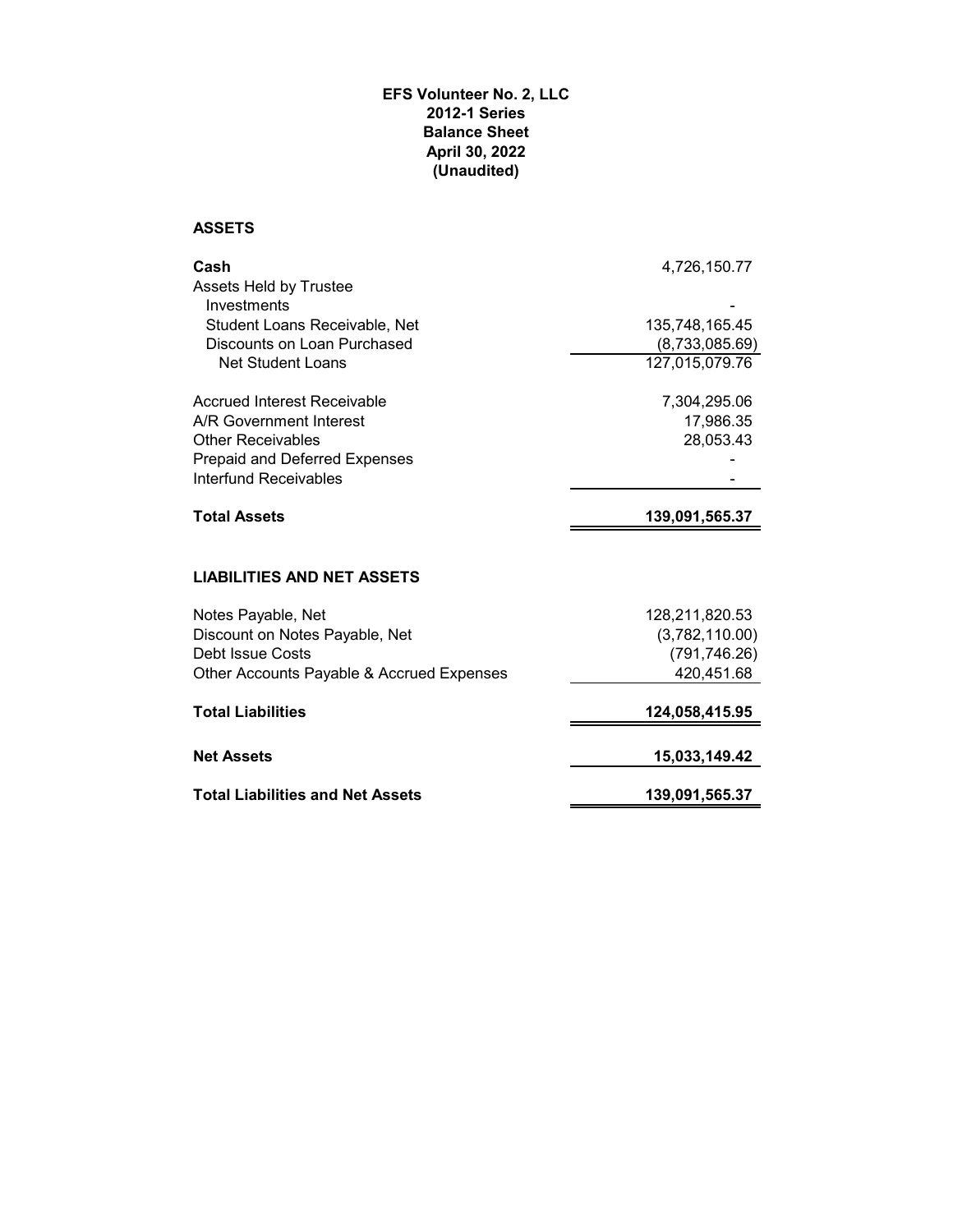## **EFS Volunteer No. 2, LLC 2012-1 Series Balance Sheet April 30, 2022 (Unaudited)**

## **ASSETS**

| Cash                                      | 4,726,150.77   |
|-------------------------------------------|----------------|
| <b>Assets Held by Trustee</b>             |                |
| Investments                               |                |
| Student Loans Receivable, Net             | 135,748,165.45 |
| Discounts on Loan Purchased               | (8,733,085.69) |
| Net Student Loans                         | 127,015,079.76 |
| <b>Accrued Interest Receivable</b>        | 7,304,295.06   |
| A/R Government Interest                   | 17,986.35      |
| <b>Other Receivables</b>                  | 28,053.43      |
| Prepaid and Deferred Expenses             |                |
| Interfund Receivables                     |                |
| <b>Total Assets</b>                       | 139,091,565.37 |
|                                           |                |
| <b>LIABILITIES AND NET ASSETS</b>         |                |
| Notes Payable, Net                        | 128,211,820.53 |
| Discount on Notes Payable, Net            | (3,782,110.00) |
| Debt Issue Costs                          | (791, 746.26)  |
| Other Accounts Payable & Accrued Expenses | 420,451.68     |
| <b>Total Liabilities</b>                  | 124,058,415.95 |
| <b>Net Assets</b>                         | 15,033,149.42  |
| <b>Total Liabilities and Net Assets</b>   | 139,091,565.37 |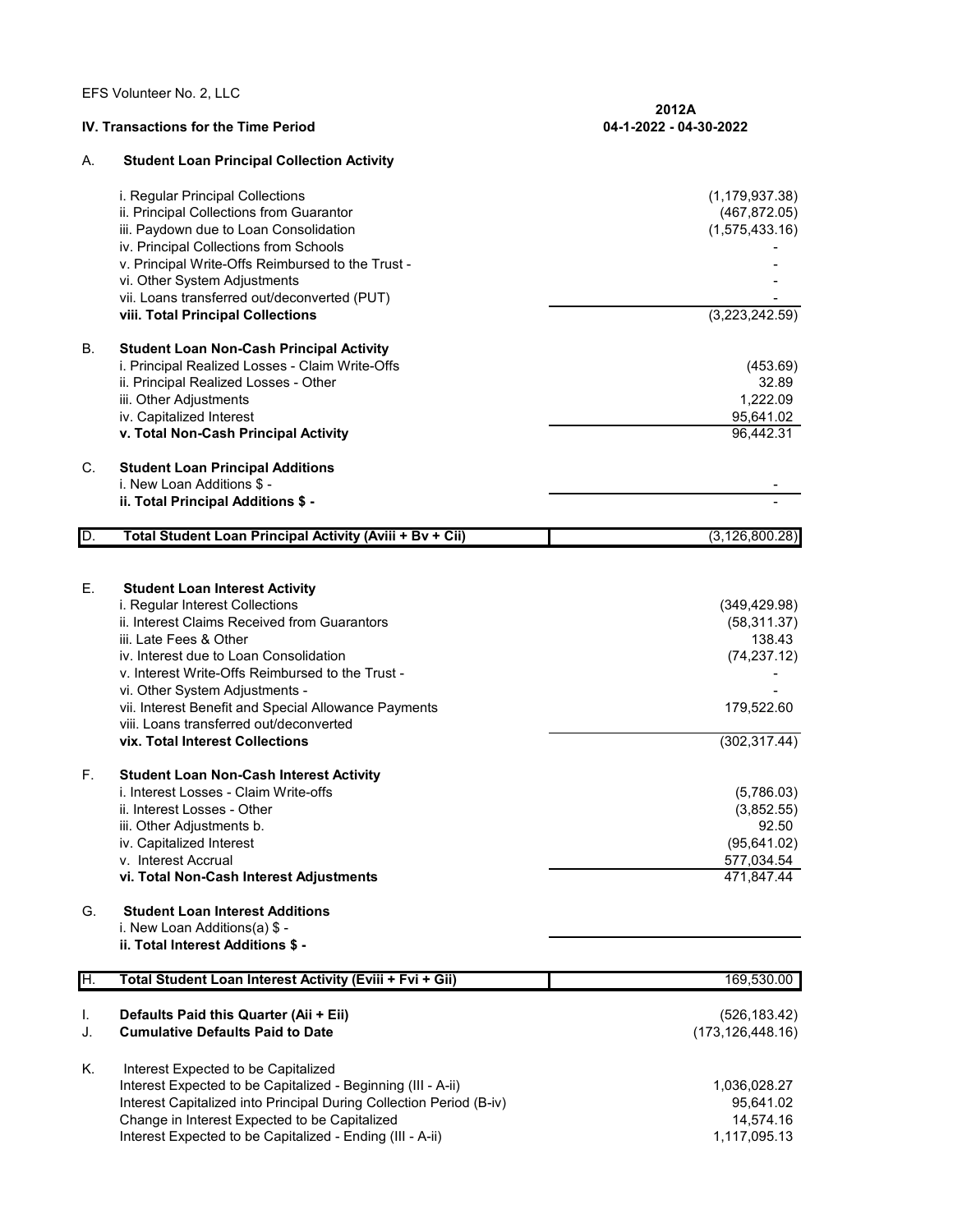EFS Volunteer No. 2, LLC

|          | <b>IV. Transactions for the Time Period</b>                                                                                                                                                                                                                                                                                                                                                                              | 2012A<br>04-1-2022 - 04-30-2022                                                        |  |  |
|----------|--------------------------------------------------------------------------------------------------------------------------------------------------------------------------------------------------------------------------------------------------------------------------------------------------------------------------------------------------------------------------------------------------------------------------|----------------------------------------------------------------------------------------|--|--|
| А.       | <b>Student Loan Principal Collection Activity</b>                                                                                                                                                                                                                                                                                                                                                                        |                                                                                        |  |  |
|          | i. Regular Principal Collections<br>ii. Principal Collections from Guarantor<br>iii. Paydown due to Loan Consolidation<br>iv. Principal Collections from Schools<br>v. Principal Write-Offs Reimbursed to the Trust -<br>vi. Other System Adjustments<br>vii. Loans transferred out/deconverted (PUT)<br>viii. Total Principal Collections                                                                               | (1, 179, 937.38)<br>(467, 872.05)<br>(1,575,433.16)<br>(3,223,242.59)                  |  |  |
| В.       | <b>Student Loan Non-Cash Principal Activity</b><br>i. Principal Realized Losses - Claim Write-Offs<br>ii. Principal Realized Losses - Other<br>iii. Other Adjustments<br>iv. Capitalized Interest<br>v. Total Non-Cash Principal Activity                                                                                                                                                                                | (453.69)<br>32.89<br>1,222.09<br>95,641.02<br>96,442.31                                |  |  |
| C.       | <b>Student Loan Principal Additions</b><br>i. New Loan Additions \$ -<br>ii. Total Principal Additions \$ -                                                                                                                                                                                                                                                                                                              |                                                                                        |  |  |
| D.       | Total Student Loan Principal Activity (Aviii + Bv + Cii)                                                                                                                                                                                                                                                                                                                                                                 | (3, 126, 800.28)                                                                       |  |  |
|          |                                                                                                                                                                                                                                                                                                                                                                                                                          |                                                                                        |  |  |
| Е.       | <b>Student Loan Interest Activity</b><br>i. Regular Interest Collections<br>ii. Interest Claims Received from Guarantors<br>iii. Late Fees & Other<br>iv. Interest due to Loan Consolidation<br>v. Interest Write-Offs Reimbursed to the Trust -<br>vi. Other System Adjustments -<br>vii. Interest Benefit and Special Allowance Payments<br>viii. Loans transferred out/deconverted<br>vix. Total Interest Collections | (349, 429.98)<br>(58, 311.37)<br>138.43<br>(74, 237.12)<br>179,522.60<br>(302, 317.44) |  |  |
| F.       | <b>Student Loan Non-Cash Interest Activity</b><br>i. Interest Losses - Claim Write-offs<br>ii. Interest Losses - Other<br>iii. Other Adjustments b.<br>iv. Capitalized Interest<br>v. Interest Accrual<br>vi. Total Non-Cash Interest Adjustments                                                                                                                                                                        | (5,786.03)<br>(3,852.55)<br>92.50<br>(95, 641.02)<br>577,034.54<br>471,847.44          |  |  |
| G.       | <b>Student Loan Interest Additions</b><br>i. New Loan Additions(a) \$ -<br>ii. Total Interest Additions \$ -                                                                                                                                                                                                                                                                                                             |                                                                                        |  |  |
| H.       | Total Student Loan Interest Activity (Eviii + Fvi + Gii)                                                                                                                                                                                                                                                                                                                                                                 | 169,530.00                                                                             |  |  |
| I.<br>J. | Defaults Paid this Quarter (Aii + Eii)<br><b>Cumulative Defaults Paid to Date</b>                                                                                                                                                                                                                                                                                                                                        | (526, 183.42)<br>(173, 126, 448.16)                                                    |  |  |
| Κ.       | Interest Expected to be Capitalized<br>Interest Expected to be Capitalized - Beginning (III - A-ii)<br>Interest Capitalized into Principal During Collection Period (B-iv)<br>Change in Interest Expected to be Capitalized<br>Interest Expected to be Capitalized - Ending (III - A-ii)                                                                                                                                 | 1,036,028.27<br>95,641.02<br>14,574.16<br>1,117,095.13                                 |  |  |